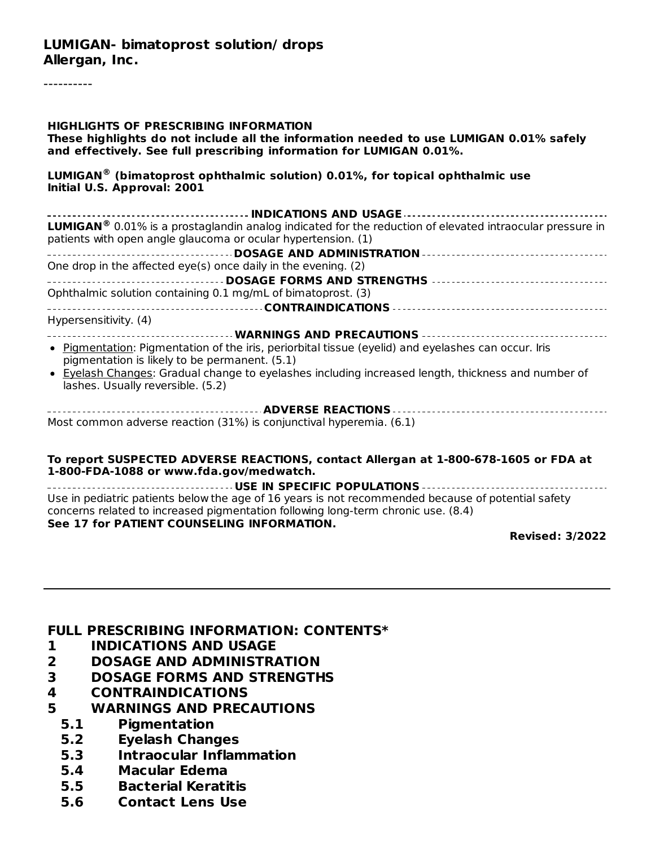#### **LUMIGAN- bimatoprost solution/ drops Allergan, Inc.**

----------

| <b>HIGHLIGHTS OF PRESCRIBING INFORMATION</b><br>These highlights do not include all the information needed to use LUMIGAN 0.01% safely<br>and effectively. See full prescribing information for LUMIGAN 0.01%. |  |  |  |  |  |  |
|----------------------------------------------------------------------------------------------------------------------------------------------------------------------------------------------------------------|--|--|--|--|--|--|
| <b>LUMIGAN</b> <sup>®</sup> (bimatoprost ophthalmic solution) 0.01%, for topical ophthalmic use<br>Initial U.S. Approval: 2001                                                                                 |  |  |  |  |  |  |
| ------------------------- INDICATIONS AND USAGE    -----------------------------                                                                                                                               |  |  |  |  |  |  |
| <b>LUMIGAN</b> <sup>®</sup> 0.01% is a prostaglandin analog indicated for the reduction of elevated intraocular pressure in<br>patients with open angle glaucoma or ocular hypertension. (1)                   |  |  |  |  |  |  |
|                                                                                                                                                                                                                |  |  |  |  |  |  |
| One drop in the affected eye(s) once daily in the evening. (2)                                                                                                                                                 |  |  |  |  |  |  |
|                                                                                                                                                                                                                |  |  |  |  |  |  |
| Ophthalmic solution containing 0.1 mg/mL of bimatoprost. (3)                                                                                                                                                   |  |  |  |  |  |  |
|                                                                                                                                                                                                                |  |  |  |  |  |  |
| Hypersensitivity. (4)                                                                                                                                                                                          |  |  |  |  |  |  |
|                                                                                                                                                                                                                |  |  |  |  |  |  |
| • Pigmentation: Pigmentation of the iris, periorbital tissue (eyelid) and eyelashes can occur. Iris<br>pigmentation is likely to be permanent. (5.1)                                                           |  |  |  |  |  |  |
| • Eyelash Changes: Gradual change to eyelashes including increased length, thickness and number of<br>lashes. Usually reversible. (5.2)                                                                        |  |  |  |  |  |  |
|                                                                                                                                                                                                                |  |  |  |  |  |  |
| Most common adverse reaction (31%) is conjunctival hyperemia. (6.1)                                                                                                                                            |  |  |  |  |  |  |
|                                                                                                                                                                                                                |  |  |  |  |  |  |

#### **To report SUSPECTED ADVERSE REACTIONS, contact Allergan at 1-800-678-1605 or FDA at 1-800-FDA-1088 or www.fda.gov/medwatch.**

**USE IN SPECIFIC POPULATIONS** Use in pediatric patients below the age of 16 years is not recommended because of potential safety concerns related to increased pigmentation following long-term chronic use. (8.4) **See 17 for PATIENT COUNSELING INFORMATION.**

**Revised: 3/2022**

#### **FULL PRESCRIBING INFORMATION: CONTENTS\***

- **1 INDICATIONS AND USAGE**
- **2 DOSAGE AND ADMINISTRATION**
- **3 DOSAGE FORMS AND STRENGTHS**
- **4 CONTRAINDICATIONS**
- **5 WARNINGS AND PRECAUTIONS**
	- **5.1 Pigmentation**
	- **5.2 Eyelash Changes**
	- **5.3 Intraocular Inflammation**
	- **5.4 Macular Edema**
	- **5.5 Bacterial Keratitis**
	- **5.6 Contact Lens Use**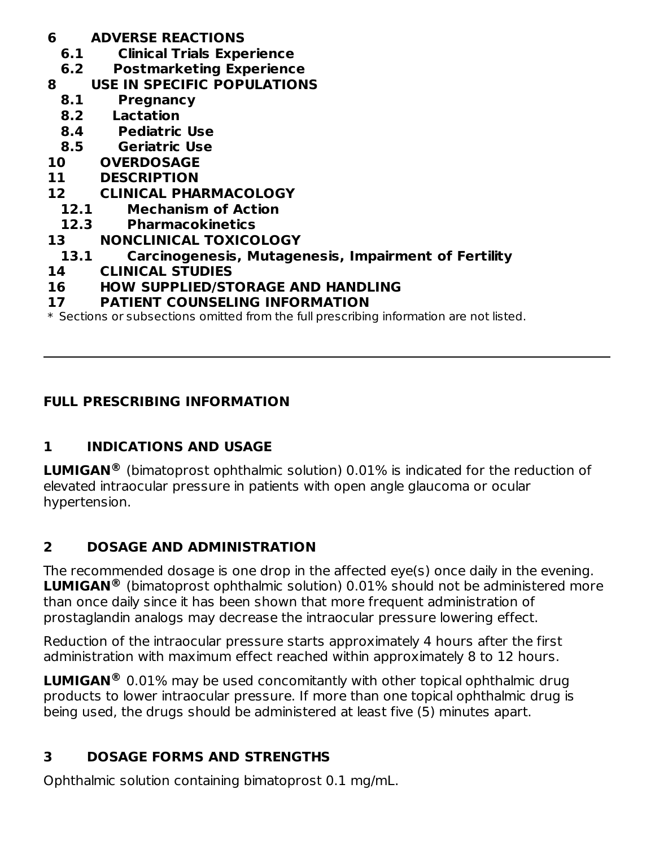- **6 ADVERSE REACTIONS**
	- **6.1 Clinical Trials Experience**
- **6.2 Postmarketing Experience**
- **8 USE IN SPECIFIC POPULATIONS**
	- **8.1 Pregnancy**
	- **8.2 Lactation**
	- **8.4 Pediatric Use**
	- **8.5 Geriatric Use**
- **10 OVERDOSAGE**
- **11 DESCRIPTION**
- **12 CLINICAL PHARMACOLOGY**
	- **12.1 Mechanism of Action**
	- **12.3 Pharmacokinetics**
- **13 NONCLINICAL TOXICOLOGY**
- **13.1 Carcinogenesis, Mutagenesis, Impairment of Fertility**
- **14 CLINICAL STUDIES**
- **16 HOW SUPPLIED/STORAGE AND HANDLING**
- **17 PATIENT COUNSELING INFORMATION**

\* Sections or subsections omitted from the full prescribing information are not listed.

# **FULL PRESCRIBING INFORMATION**

# **1 INDICATIONS AND USAGE**

**LUMIGAN**<sup>®</sup> (bimatoprost ophthalmic solution) 0.01% is indicated for the reduction of elevated intraocular pressure in patients with open angle glaucoma or ocular hypertension.

# **2 DOSAGE AND ADMINISTRATION**

The recommended dosage is one drop in the affected eye(s) once daily in the evening. **LUMIGAN** (bimatoprost ophthalmic solution) 0.01% should not be administered more **®** than once daily since it has been shown that more frequent administration of prostaglandin analogs may decrease the intraocular pressure lowering effect.

Reduction of the intraocular pressure starts approximately 4 hours after the first administration with maximum effect reached within approximately 8 to 12 hours.

**LUMIGAN**<sup>®</sup> 0.01% may be used concomitantly with other topical ophthalmic drug products to lower intraocular pressure. If more than one topical ophthalmic drug is being used, the drugs should be administered at least five (5) minutes apart.

# **3 DOSAGE FORMS AND STRENGTHS**

Ophthalmic solution containing bimatoprost 0.1 mg/mL.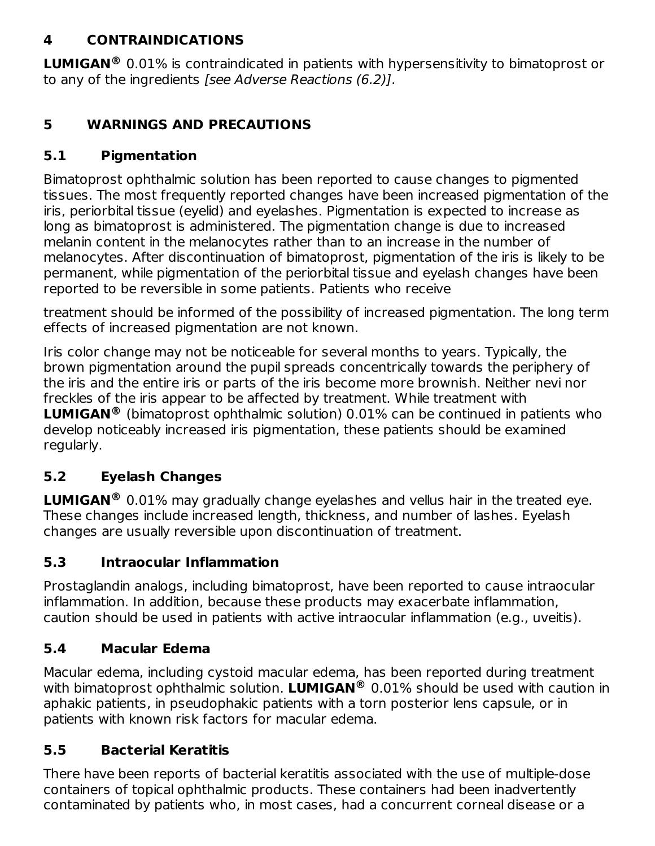## **4 CONTRAINDICATIONS**

**LUMIGAN**<sup>®</sup> 0.01% is contraindicated in patients with hypersensitivity to bimatoprost or to any of the ingredients [see Adverse Reactions (6.2)].

## **5 WARNINGS AND PRECAUTIONS**

## **5.1 Pigmentation**

Bimatoprost ophthalmic solution has been reported to cause changes to pigmented tissues. The most frequently reported changes have been increased pigmentation of the iris, periorbital tissue (eyelid) and eyelashes. Pigmentation is expected to increase as long as bimatoprost is administered. The pigmentation change is due to increased melanin content in the melanocytes rather than to an increase in the number of melanocytes. After discontinuation of bimatoprost, pigmentation of the iris is likely to be permanent, while pigmentation of the periorbital tissue and eyelash changes have been reported to be reversible in some patients. Patients who receive

treatment should be informed of the possibility of increased pigmentation. The long term effects of increased pigmentation are not known.

Iris color change may not be noticeable for several months to years. Typically, the brown pigmentation around the pupil spreads concentrically towards the periphery of the iris and the entire iris or parts of the iris become more brownish. Neither nevi nor freckles of the iris appear to be affected by treatment. While treatment with **LUMIGAN**<sup>®</sup> (bimatoprost ophthalmic solution) 0.01% can be continued in patients who develop noticeably increased iris pigmentation, these patients should be examined regularly.

# **5.2 Eyelash Changes**

**LUMIGAN**<sup>®</sup> 0.01% may gradually change eyelashes and vellus hair in the treated eye. These changes include increased length, thickness, and number of lashes. Eyelash changes are usually reversible upon discontinuation of treatment.

# **5.3 Intraocular Inflammation**

Prostaglandin analogs, including bimatoprost, have been reported to cause intraocular inflammation. In addition, because these products may exacerbate inflammation, caution should be used in patients with active intraocular inflammation (e.g., uveitis).

## **5.4 Macular Edema**

Macular edema, including cystoid macular edema, has been reported during treatment with bimatoprost ophthalmic solution. LUMIGAN® 0.01% should be used with caution in aphakic patients, in pseudophakic patients with a torn posterior lens capsule, or in patients with known risk factors for macular edema.

## **5.5 Bacterial Keratitis**

There have been reports of bacterial keratitis associated with the use of multiple-dose containers of topical ophthalmic products. These containers had been inadvertently contaminated by patients who, in most cases, had a concurrent corneal disease or a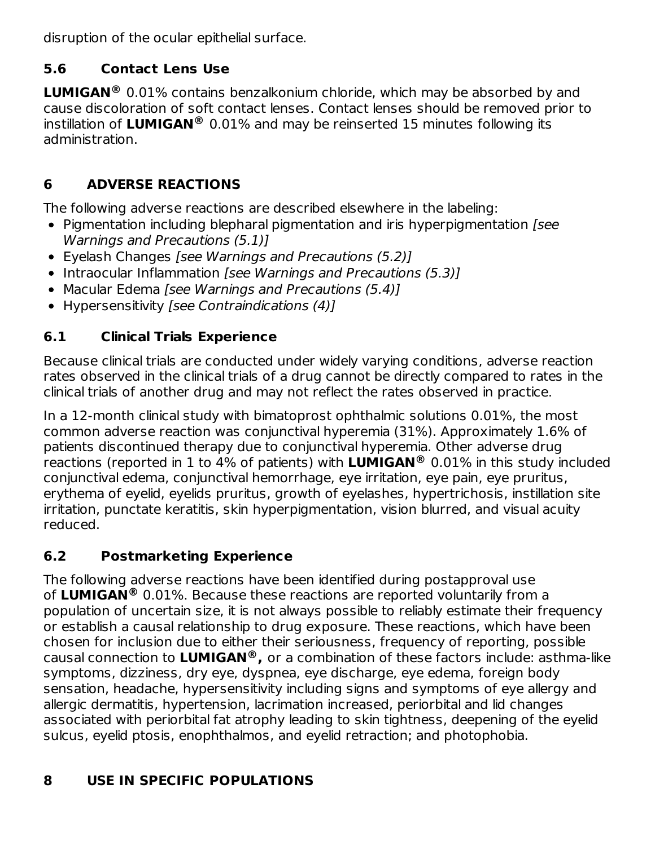disruption of the ocular epithelial surface.

# **5.6 Contact Lens Use**

**LUMIGAN**<sup>®</sup> 0.01% contains benzalkonium chloride, which may be absorbed by and cause discoloration of soft contact lenses. Contact lenses should be removed prior to instillation of **LUMIGAN** 0.01% and may be reinserted 15 minutes following its **®** administration.

# **6 ADVERSE REACTIONS**

The following adverse reactions are described elsewhere in the labeling:

- Pigmentation including blepharal pigmentation and iris hyperpigmentation [see Warnings and Precautions (5.1)]
- Eyelash Changes [see Warnings and Precautions (5.2)]
- Intraocular Inflammation [see Warnings and Precautions (5.3)]
- Macular Edema [see Warnings and Precautions (5.4)]
- Hypersensitivity [see Contraindications (4)]

# **6.1 Clinical Trials Experience**

Because clinical trials are conducted under widely varying conditions, adverse reaction rates observed in the clinical trials of a drug cannot be directly compared to rates in the clinical trials of another drug and may not reflect the rates observed in practice.

In a 12-month clinical study with bimatoprost ophthalmic solutions 0.01%, the most common adverse reaction was conjunctival hyperemia (31%). Approximately 1.6% of patients discontinued therapy due to conjunctival hyperemia. Other adverse drug reactions (reported in 1 to 4% of patients) with LUMIGAN® 0.01% in this study included conjunctival edema, conjunctival hemorrhage, eye irritation, eye pain, eye pruritus, erythema of eyelid, eyelids pruritus, growth of eyelashes, hypertrichosis, instillation site irritation, punctate keratitis, skin hyperpigmentation, vision blurred, and visual acuity reduced.

# **6.2 Postmarketing Experience**

The following adverse reactions have been identified during postapproval use of **LUMIGAN** 0.01%. Because these reactions are reported voluntarily from a **®** population of uncertain size, it is not always possible to reliably estimate their frequency or establish a causal relationship to drug exposure. These reactions, which have been chosen for inclusion due to either their seriousness, frequency of reporting, possible causal connection to **LUMIGAN ,** or a combination of these factors include: asthma-like **®**symptoms, dizziness, dry eye, dyspnea, eye discharge, eye edema, foreign body sensation, headache, hypersensitivity including signs and symptoms of eye allergy and allergic dermatitis, hypertension, lacrimation increased, periorbital and lid changes associated with periorbital fat atrophy leading to skin tightness, deepening of the eyelid sulcus, eyelid ptosis, enophthalmos, and eyelid retraction; and photophobia.

# **8 USE IN SPECIFIC POPULATIONS**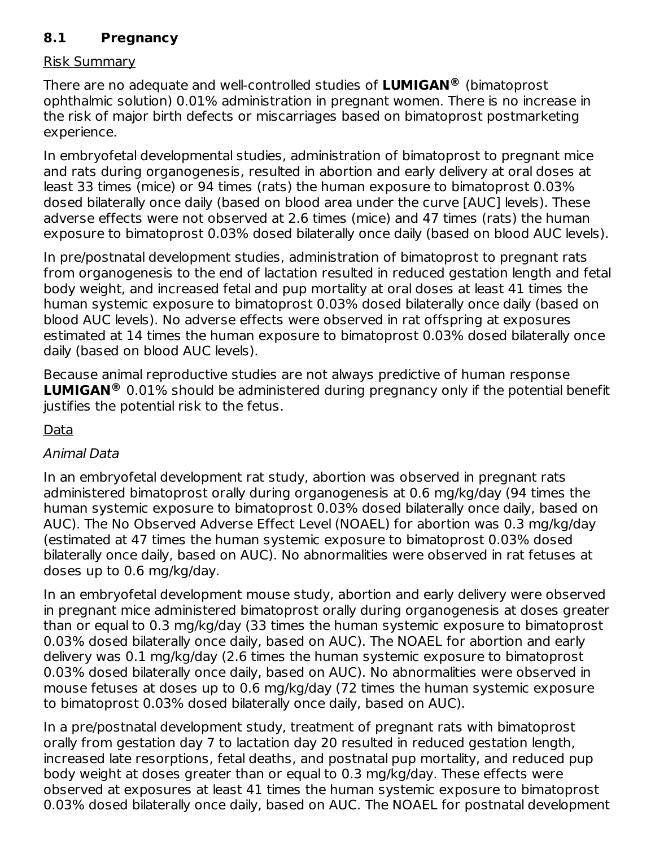### **8.1 Pregnancy**

#### Risk Summary

There are no adequate and well-controlled studies of **LUMIGAN** (bimatoprost **®** ophthalmic solution) 0.01% administration in pregnant women. There is no increase in the risk of major birth defects or miscarriages based on bimatoprost postmarketing experience.

In embryofetal developmental studies, administration of bimatoprost to pregnant mice and rats during organogenesis, resulted in abortion and early delivery at oral doses at least 33 times (mice) or 94 times (rats) the human exposure to bimatoprost 0.03% dosed bilaterally once daily (based on blood area under the curve [AUC] levels). These adverse effects were not observed at 2.6 times (mice) and 47 times (rats) the human exposure to bimatoprost 0.03% dosed bilaterally once daily (based on blood AUC levels).

In pre/postnatal development studies, administration of bimatoprost to pregnant rats from organogenesis to the end of lactation resulted in reduced gestation length and fetal body weight, and increased fetal and pup mortality at oral doses at least 41 times the human systemic exposure to bimatoprost 0.03% dosed bilaterally once daily (based on blood AUC levels). No adverse effects were observed in rat offspring at exposures estimated at 14 times the human exposure to bimatoprost 0.03% dosed bilaterally once daily (based on blood AUC levels).

Because animal reproductive studies are not always predictive of human response **LUMIGAN**<sup>®</sup> 0.01% should be administered during pregnancy only if the potential benefit justifies the potential risk to the fetus.

Data

### Animal Data

In an embryofetal development rat study, abortion was observed in pregnant rats administered bimatoprost orally during organogenesis at 0.6 mg/kg/day (94 times the human systemic exposure to bimatoprost 0.03% dosed bilaterally once daily, based on AUC). The No Observed Adverse Effect Level (NOAEL) for abortion was 0.3 mg/kg/day (estimated at 47 times the human systemic exposure to bimatoprost 0.03% dosed bilaterally once daily, based on AUC). No abnormalities were observed in rat fetuses at doses up to 0.6 mg/kg/day.

In an embryofetal development mouse study, abortion and early delivery were observed in pregnant mice administered bimatoprost orally during organogenesis at doses greater than or equal to 0.3 mg/kg/day (33 times the human systemic exposure to bimatoprost 0.03% dosed bilaterally once daily, based on AUC). The NOAEL for abortion and early delivery was 0.1 mg/kg/day (2.6 times the human systemic exposure to bimatoprost 0.03% dosed bilaterally once daily, based on AUC). No abnormalities were observed in mouse fetuses at doses up to 0.6 mg/kg/day (72 times the human systemic exposure to bimatoprost 0.03% dosed bilaterally once daily, based on AUC).

In a pre/postnatal development study, treatment of pregnant rats with bimatoprost orally from gestation day 7 to lactation day 20 resulted in reduced gestation length, increased late resorptions, fetal deaths, and postnatal pup mortality, and reduced pup body weight at doses greater than or equal to 0.3 mg/kg/day. These effects were observed at exposures at least 41 times the human systemic exposure to bimatoprost 0.03% dosed bilaterally once daily, based on AUC. The NOAEL for postnatal development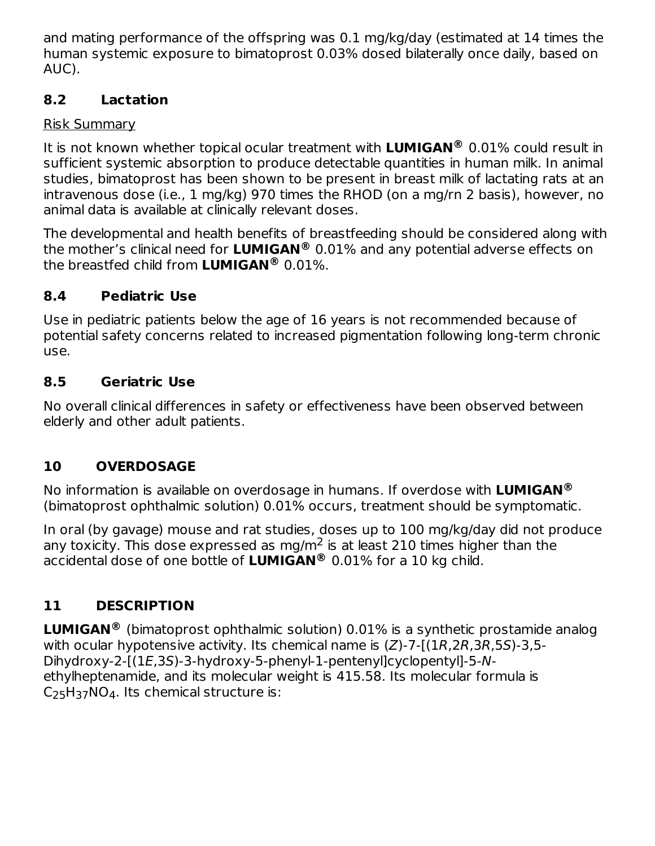and mating performance of the offspring was 0.1 mg/kg/day (estimated at 14 times the human systemic exposure to bimatoprost 0.03% dosed bilaterally once daily, based on AUC).

### **8.2 Lactation**

### Risk Summary

It is not known whether topical ocular treatment with LUMIGAN® 0.01% could result in sufficient systemic absorption to produce detectable quantities in human milk. In animal studies, bimatoprost has been shown to be present in breast milk of lactating rats at an intravenous dose (i.e., 1 mg/kg) 970 times the RHOD (on a mg/rn 2 basis), however, no animal data is available at clinically relevant doses.

The developmental and health benefits of breastfeeding should be considered along with the mother's clinical need for **LUMIGAN** 0.01% and any potential adverse effects on **®** the breastfed child from **LUMIGAN** 0.01%. **®**

# **8.4 Pediatric Use**

Use in pediatric patients below the age of 16 years is not recommended because of potential safety concerns related to increased pigmentation following long-term chronic use.

## **8.5 Geriatric Use**

No overall clinical differences in safety or effectiveness have been observed between elderly and other adult patients.

# **10 OVERDOSAGE**

No information is available on overdosage in humans. If overdose with **LUMIGAN ®** (bimatoprost ophthalmic solution) 0.01% occurs, treatment should be symptomatic.

In oral (by gavage) mouse and rat studies, doses up to 100 mg/kg/day did not produce any toxicity. This dose expressed as mg/m<sup>2</sup> is at least 210 times higher than the accidental dose of one bottle of **LUMIGAN** 0.01% for a 10 kg child. **®**

# **11 DESCRIPTION**

**LUMIGAN**<sup>®</sup> (bimatoprost ophthalmic solution) 0.01% is a synthetic prostamide analog with ocular hypotensive activity. Its chemical name is (Z)-7-[(1R,2R,3R,5S)-3,5- Dihydroxy-2-[(1E,3S)-3-hydroxy-5-phenyl-1-pentenyl]cyclopentyl]-5-Nethylheptenamide, and its molecular weight is 415.58. Its molecular formula is  $C_{25}H_{37}NO_4$ . Its chemical structure is: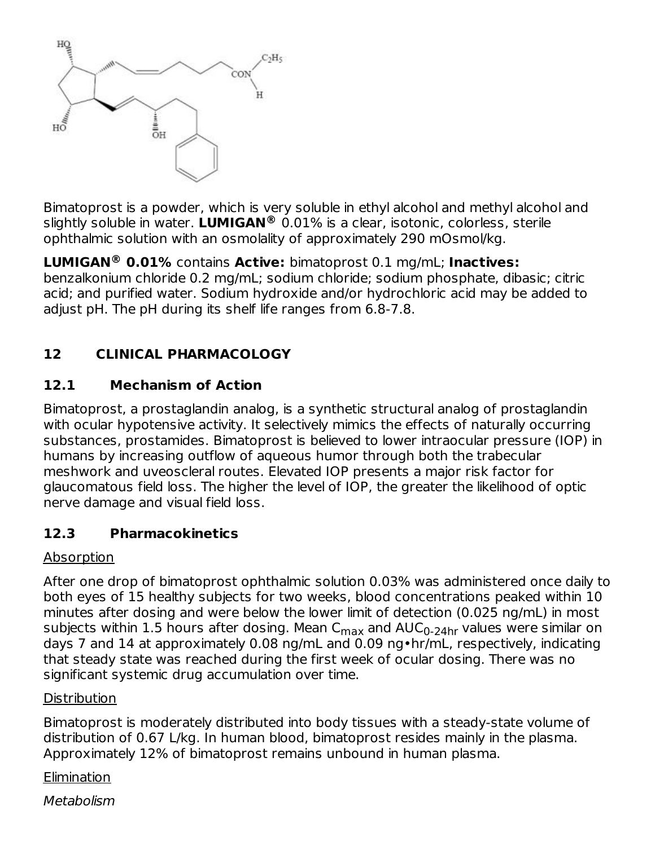

Bimatoprost is a powder, which is very soluble in ethyl alcohol and methyl alcohol and slightly soluble in water. LUMIGAN® 0.01% is a clear, isotonic, colorless, sterile ophthalmic solution with an osmolality of approximately 290 mOsmol/kg.

**LUMIGAN<sup>®</sup> 0.01%** contains **Active:** bimatoprost 0.1 mg/mL; **Inactives:** benzalkonium chloride 0.2 mg/mL; sodium chloride; sodium phosphate, dibasic; citric acid; and purified water. Sodium hydroxide and/or hydrochloric acid may be added to adjust pH. The pH during its shelf life ranges from 6.8-7.8.

## **12 CLINICAL PHARMACOLOGY**

### **12.1 Mechanism of Action**

Bimatoprost, a prostaglandin analog, is a synthetic structural analog of prostaglandin with ocular hypotensive activity. It selectively mimics the effects of naturally occurring substances, prostamides. Bimatoprost is believed to lower intraocular pressure (IOP) in humans by increasing outflow of aqueous humor through both the trabecular meshwork and uveoscleral routes. Elevated IOP presents a major risk factor for glaucomatous field loss. The higher the level of IOP, the greater the likelihood of optic nerve damage and visual field loss.

### **12.3 Pharmacokinetics**

#### Absorption

After one drop of bimatoprost ophthalmic solution 0.03% was administered once daily to both eyes of 15 healthy subjects for two weeks, blood concentrations peaked within 10 minutes after dosing and were below the lower limit of detection (0.025 ng/mL) in most subjects within 1.5 hours after dosing. Mean C<sub>max</sub> and AUC<sub>0-24hr</sub> values were similar on days 7 and 14 at approximately 0.08 ng/mL and 0.09 ng•hr/mL, respectively, indicating that steady state was reached during the first week of ocular dosing. There was no significant systemic drug accumulation over time.

#### **Distribution**

Bimatoprost is moderately distributed into body tissues with a steady-state volume of distribution of 0.67 L/kg. In human blood, bimatoprost resides mainly in the plasma. Approximately 12% of bimatoprost remains unbound in human plasma.

**Elimination** 

Metabolism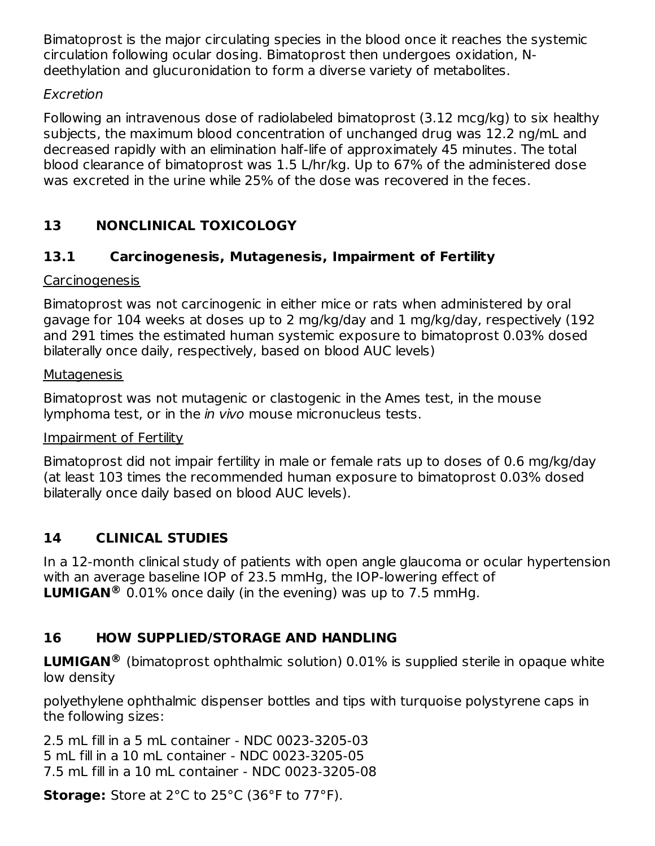Bimatoprost is the major circulating species in the blood once it reaches the systemic circulation following ocular dosing. Bimatoprost then undergoes oxidation, Ndeethylation and glucuronidation to form a diverse variety of metabolites.

### Excretion

Following an intravenous dose of radiolabeled bimatoprost (3.12 mcg/kg) to six healthy subjects, the maximum blood concentration of unchanged drug was 12.2 ng/mL and decreased rapidly with an elimination half-life of approximately 45 minutes. The total blood clearance of bimatoprost was 1.5 L/hr/kg. Up to 67% of the administered dose was excreted in the urine while 25% of the dose was recovered in the feces.

## **13 NONCLINICAL TOXICOLOGY**

### **13.1 Carcinogenesis, Mutagenesis, Impairment of Fertility**

#### **Carcinogenesis**

Bimatoprost was not carcinogenic in either mice or rats when administered by oral gavage for 104 weeks at doses up to 2 mg/kg/day and 1 mg/kg/day, respectively (192 and 291 times the estimated human systemic exposure to bimatoprost 0.03% dosed bilaterally once daily, respectively, based on blood AUC levels)

#### **Mutagenesis**

Bimatoprost was not mutagenic or clastogenic in the Ames test, in the mouse lymphoma test, or in the *in vivo* mouse micronucleus tests.

#### Impairment of Fertility

Bimatoprost did not impair fertility in male or female rats up to doses of 0.6 mg/kg/day (at least 103 times the recommended human exposure to bimatoprost 0.03% dosed bilaterally once daily based on blood AUC levels).

## **14 CLINICAL STUDIES**

In a 12-month clinical study of patients with open angle glaucoma or ocular hypertension with an average baseline IOP of 23.5 mmHg, the IOP-lowering effect of **LUMIGAN**<sup>®</sup> 0.01% once daily (in the evening) was up to 7.5 mmHg.

### **16 HOW SUPPLIED/STORAGE AND HANDLING**

**LUMIGAN**<sup>®</sup> (bimatoprost ophthalmic solution) 0.01% is supplied sterile in opaque white low density

polyethylene ophthalmic dispenser bottles and tips with turquoise polystyrene caps in the following sizes:

2.5 mL fill in a 5 mL container - NDC 0023-3205-03 5 mL fill in a 10 mL container - NDC 0023-3205-05 7.5 mL fill in a 10 mL container - NDC 0023-3205-08

**Storage:** Store at 2°C to 25°C (36°F to 77°F).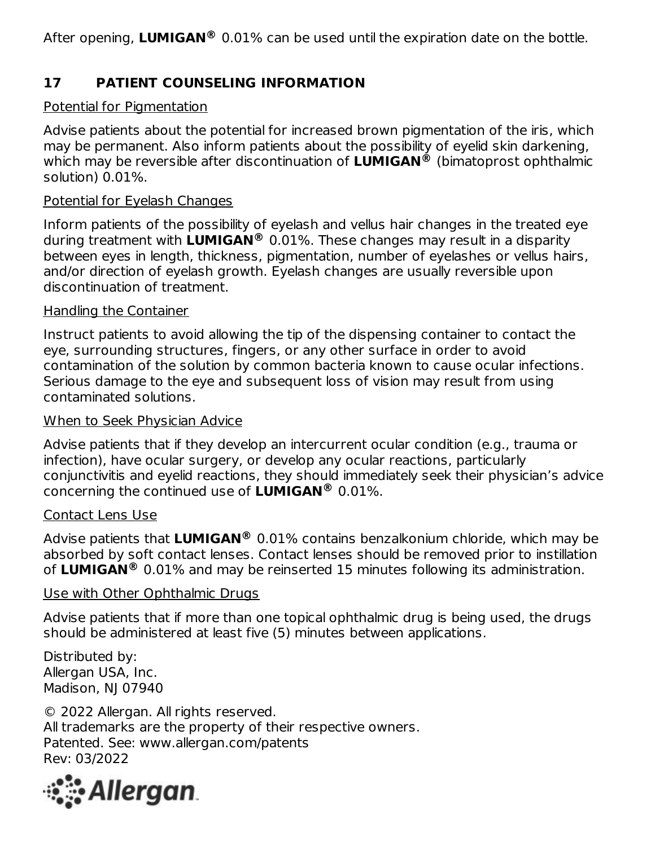After opening, LUMIGAN® 0.01% can be used until the expiration date on the bottle.

### **17 PATIENT COUNSELING INFORMATION**

#### Potential for Pigmentation

Advise patients about the potential for increased brown pigmentation of the iris, which may be permanent. Also inform patients about the possibility of eyelid skin darkening, which may be reversible after discontinuation of **LUMIGAN®** (bimatoprost ophthalmic solution) 0.01%.

#### Potential for Eyelash Changes

Inform patients of the possibility of eyelash and vellus hair changes in the treated eye during treatment with **LUMIGAN** 0.01%. These changes may result in a disparity **®** between eyes in length, thickness, pigmentation, number of eyelashes or vellus hairs, and/or direction of eyelash growth. Eyelash changes are usually reversible upon discontinuation of treatment.

#### Handling the Container

Instruct patients to avoid allowing the tip of the dispensing container to contact the eye, surrounding structures, fingers, or any other surface in order to avoid contamination of the solution by common bacteria known to cause ocular infections. Serious damage to the eye and subsequent loss of vision may result from using contaminated solutions.

#### When to Seek Physician Advice

Advise patients that if they develop an intercurrent ocular condition (e.g., trauma or infection), have ocular surgery, or develop any ocular reactions, particularly conjunctivitis and eyelid reactions, they should immediately seek their physician's advice concerning the continued use of **LUMIGAN** 0.01%. **®**

#### Contact Lens Use

Advise patients that **LUMIGAN** 0.01% contains benzalkonium chloride, which may be **®** absorbed by soft contact lenses. Contact lenses should be removed prior to instillation of LUMIGAN<sup>®</sup> 0.01% and may be reinserted 15 minutes following its administration.

#### Use with Other Ophthalmic Drugs

Advise patients that if more than one topical ophthalmic drug is being used, the drugs should be administered at least five (5) minutes between applications.

Distributed by: Allergan USA, Inc. Madison, NJ 07940

© 2022 Allergan. All rights reserved. All trademarks are the property of their respective owners. Patented. See: www.allergan.com/patents Rev: 03/2022

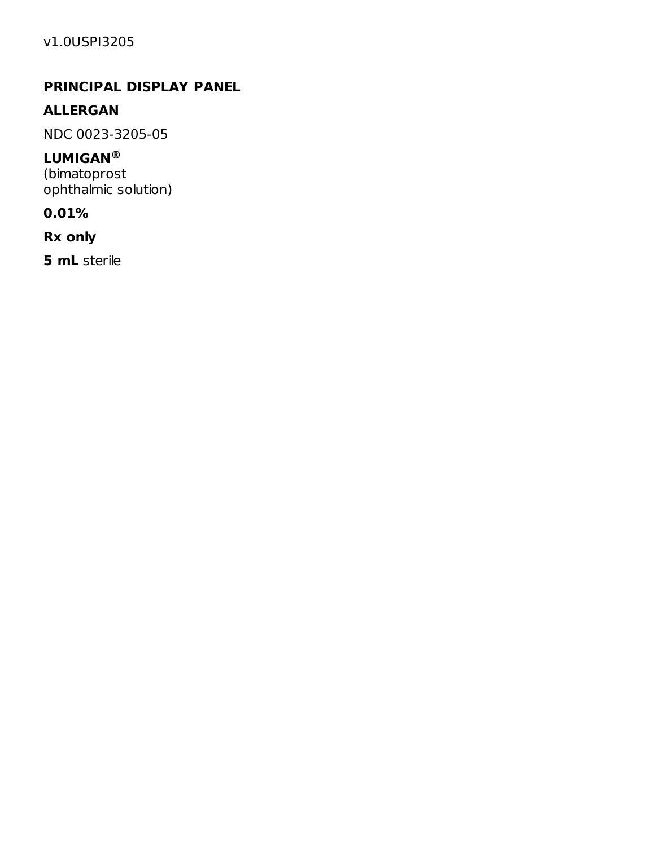### **PRINCIPAL DISPLAY PANEL**

### **ALLERGAN**

NDC 0023-3205-05

#### **LUMIGAN ®**

(bimatoprost ophthalmic solution)

#### **0.01%**

**Rx only**

**5 mL** sterile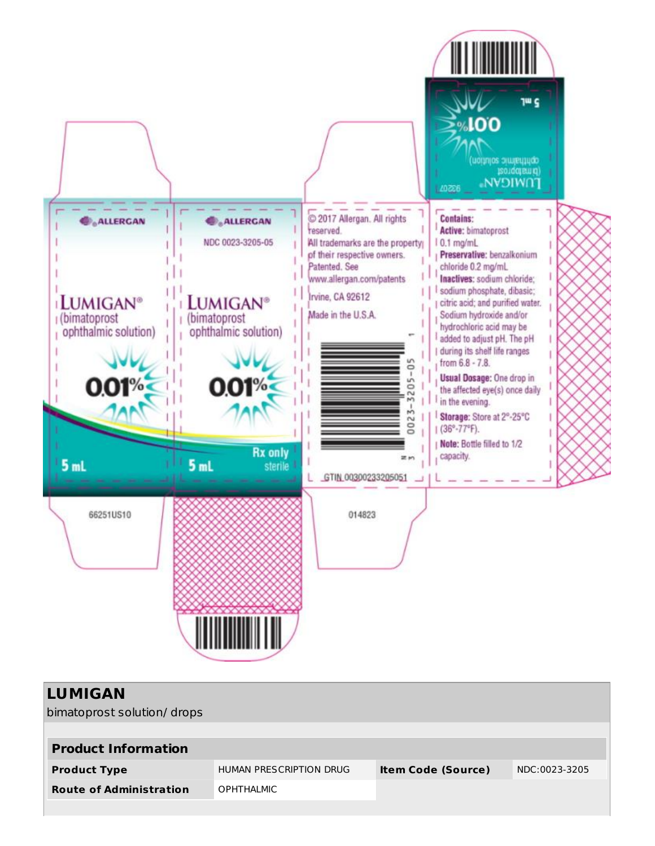

| <b>LUMIGAN</b><br>bimatoprost solution/drops |                         |                           |               |
|----------------------------------------------|-------------------------|---------------------------|---------------|
| <b>Product Information</b>                   |                         |                           |               |
| <b>Product Type</b>                          | HUMAN PRESCRIPTION DRUG | <b>Item Code (Source)</b> | NDC:0023-3205 |
| <b>Route of Administration</b>               | <b>OPHTHALMIC</b>       |                           |               |
|                                              |                         |                           |               |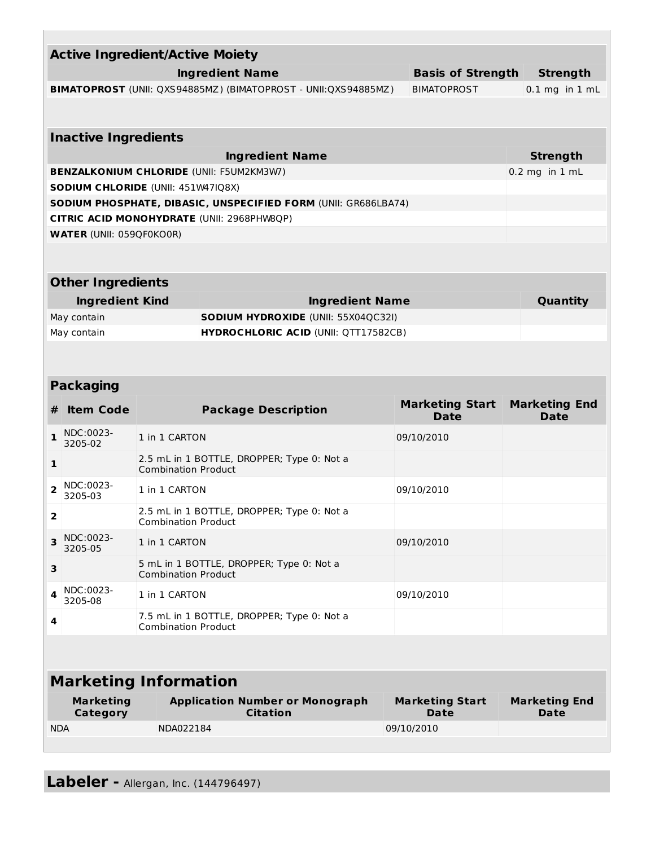| <b>Active Ingredient/Active Moiety</b>                                               |                                     |                                                                          |                                                                          |                          |                                       |                                     |  |  |  |
|--------------------------------------------------------------------------------------|-------------------------------------|--------------------------------------------------------------------------|--------------------------------------------------------------------------|--------------------------|---------------------------------------|-------------------------------------|--|--|--|
| <b>Ingredient Name</b>                                                               |                                     |                                                                          |                                                                          | <b>Basis of Strength</b> | <b>Strength</b>                       |                                     |  |  |  |
| BIMATOPROST (UNII: QXS94885MZ) (BIMATOPROST - UNII:QXS94885MZ)<br><b>BIMATOPROST</b> |                                     |                                                                          |                                                                          |                          |                                       | $0.1$ mg in $1$ mL                  |  |  |  |
|                                                                                      |                                     |                                                                          |                                                                          |                          |                                       |                                     |  |  |  |
| <b>Inactive Ingredients</b>                                                          |                                     |                                                                          |                                                                          |                          |                                       |                                     |  |  |  |
| <b>Ingredient Name</b>                                                               |                                     |                                                                          |                                                                          |                          |                                       | <b>Strength</b>                     |  |  |  |
| <b>BENZALKONIUM CHLORIDE (UNII: F5UM2KM3W7)</b>                                      |                                     |                                                                          |                                                                          |                          |                                       | $0.2$ mg in $1$ mL                  |  |  |  |
| SODIUM CHLORIDE (UNII: 451W47IQ8X)                                                   |                                     |                                                                          |                                                                          |                          |                                       |                                     |  |  |  |
| SODIUM PHOSPHATE, DIBASIC, UNSPECIFIED FORM (UNII: GR686LBA74)                       |                                     |                                                                          |                                                                          |                          |                                       |                                     |  |  |  |
| CITRIC ACID MONOHYDRATE (UNII: 2968PHW8QP)<br><b>WATER (UNII: 059QF0KO0R)</b>        |                                     |                                                                          |                                                                          |                          |                                       |                                     |  |  |  |
|                                                                                      |                                     |                                                                          |                                                                          |                          |                                       |                                     |  |  |  |
|                                                                                      |                                     |                                                                          |                                                                          |                          |                                       |                                     |  |  |  |
|                                                                                      | <b>Other Ingredients</b>            |                                                                          |                                                                          |                          |                                       |                                     |  |  |  |
|                                                                                      | <b>Ingredient Kind</b>              |                                                                          | <b>Ingredient Name</b>                                                   |                          |                                       | Quantity                            |  |  |  |
|                                                                                      | May contain                         |                                                                          | <b>SODIUM HYDROXIDE (UNII: 55X04QC32I)</b>                               |                          |                                       |                                     |  |  |  |
|                                                                                      | May contain                         |                                                                          | <b>HYDROCHLORIC ACID (UNII: QTT17582CB)</b>                              |                          |                                       |                                     |  |  |  |
|                                                                                      |                                     |                                                                          |                                                                          |                          |                                       |                                     |  |  |  |
|                                                                                      |                                     |                                                                          |                                                                          |                          |                                       |                                     |  |  |  |
|                                                                                      | <b>Packaging</b>                    |                                                                          |                                                                          |                          |                                       |                                     |  |  |  |
| #                                                                                    | <b>Item Code</b>                    |                                                                          | <b>Package Description</b>                                               |                          | <b>Marketing Start</b><br><b>Date</b> | <b>Marketing End</b><br><b>Date</b> |  |  |  |
| 1                                                                                    | NDC:0023-<br>3205-02                | 1 in 1 CARTON                                                            |                                                                          | 09/10/2010               |                                       |                                     |  |  |  |
| 1                                                                                    |                                     |                                                                          | 2.5 mL in 1 BOTTLE, DROPPER; Type 0: Not a<br><b>Combination Product</b> |                          |                                       |                                     |  |  |  |
| 2                                                                                    | NDC:0023-<br>3205-03                | 1 in 1 CARTON                                                            |                                                                          | 09/10/2010               |                                       |                                     |  |  |  |
| 2                                                                                    |                                     | <b>Combination Product</b>                                               | 2.5 mL in 1 BOTTLE, DROPPER; Type 0: Not a                               |                          |                                       |                                     |  |  |  |
| 3                                                                                    | NDC:0023-<br>3205-05                | 1 in 1 CARTON                                                            |                                                                          | 09/10/2010               |                                       |                                     |  |  |  |
| З                                                                                    |                                     | <b>Combination Product</b>                                               | 5 mL in 1 BOTTLE, DROPPER; Type 0: Not a                                 |                          |                                       |                                     |  |  |  |
| 4                                                                                    | NDC:0023-<br>3205-08                | 1 in 1 CARTON                                                            |                                                                          | 09/10/2010               |                                       |                                     |  |  |  |
| 4                                                                                    |                                     | 7.5 mL in 1 BOTTLE, DROPPER; Type 0: Not a<br><b>Combination Product</b> |                                                                          |                          |                                       |                                     |  |  |  |
|                                                                                      |                                     |                                                                          |                                                                          |                          |                                       |                                     |  |  |  |
| <b>Marketing Information</b>                                                         |                                     |                                                                          |                                                                          |                          |                                       |                                     |  |  |  |
|                                                                                      | <b>Marketing</b><br><b>Category</b> |                                                                          | <b>Application Number or Monograph</b><br><b>Citation</b>                |                          | <b>Marketing Start</b><br><b>Date</b> | <b>Marketing End</b><br><b>Date</b> |  |  |  |
| <b>NDA</b>                                                                           |                                     | NDA022184                                                                |                                                                          | 09/10/2010               |                                       |                                     |  |  |  |
|                                                                                      |                                     |                                                                          |                                                                          |                          |                                       |                                     |  |  |  |
|                                                                                      |                                     |                                                                          |                                                                          |                          |                                       |                                     |  |  |  |